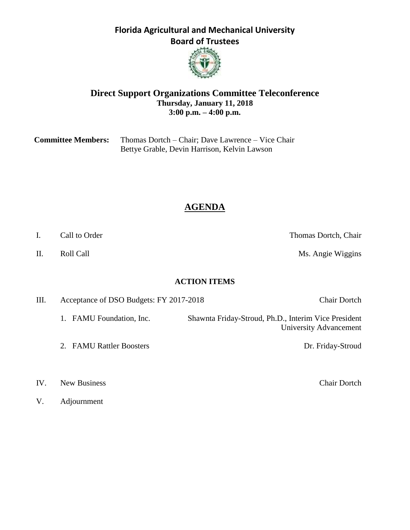**Florida Agricultural and Mechanical University Board of Trustees**



#### **Direct Support Organizations Committee Teleconference Thursday, January 11, 2018 3:00 p.m. – 4:00 p.m.**

| <b>Committee Members:</b> | Thomas Dortch – Chair; Dave Lawrence – Vice Chair |
|---------------------------|---------------------------------------------------|
|                           | Bettye Grable, Devin Harrison, Kelvin Lawson      |

# **AGENDA**

I. Call to Order Thomas Dortch, Chair

University Advancement

II. Roll Call **Nights** Roll Call **Ms.** Angie Wiggins

#### **ACTION ITEMS**

| Ш. | Acceptance of DSO Budgets: FY 2017-2018 |  |
|----|-----------------------------------------|--|
|    |                                         |  |

1. FAMU Foundation, Inc. Shawnta Friday-Stroud, Ph.D., Interim Vice President

2. FAMU Rattler Boosters Dr. Friday-Stroud

#### IV. New Business Chair Dortch

V. Adjournment

Chair Dortch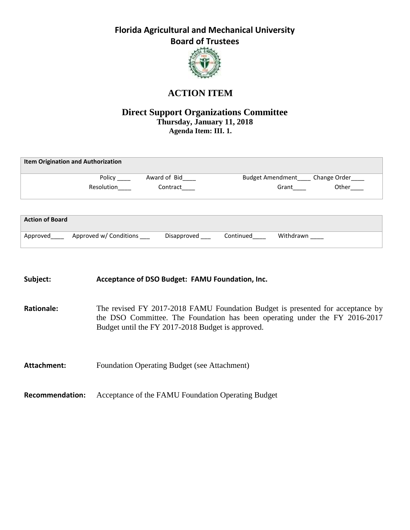**Florida Agricultural and Mechanical University Board of Trustees**



## **ACTION ITEM**

### **Direct Support Organizations Committee Thursday, January 11, 2018 Agenda Item: III. 1.**

|                        | <b>Item Origination and Authorization</b> |              |           |           |                                     |
|------------------------|-------------------------------------------|--------------|-----------|-----------|-------------------------------------|
|                        | Policy                                    | Award of Bid |           |           | Budget Amendment _____ Change Order |
|                        | Resolution                                | Contract     |           | Grant     | Other                               |
|                        |                                           |              |           |           |                                     |
|                        |                                           |              |           |           |                                     |
| <b>Action of Board</b> |                                           |              |           |           |                                     |
| Approved               | Approved w/ Conditions                    | Disapproved  | Continued | Withdrawn |                                     |

| Subject:               | Acceptance of DSO Budget: FAMU Foundation, Inc.                                                                                                                                                                    |
|------------------------|--------------------------------------------------------------------------------------------------------------------------------------------------------------------------------------------------------------------|
| <b>Rationale:</b>      | The revised FY 2017-2018 FAMU Foundation Budget is presented for acceptance by<br>the DSO Committee. The Foundation has been operating under the FY 2016-2017<br>Budget until the FY 2017-2018 Budget is approved. |
| Attachment:            | <b>Foundation Operating Budget (see Attachment)</b>                                                                                                                                                                |
| <b>Recommendation:</b> | Acceptance of the FAMU Foundation Operating Budget                                                                                                                                                                 |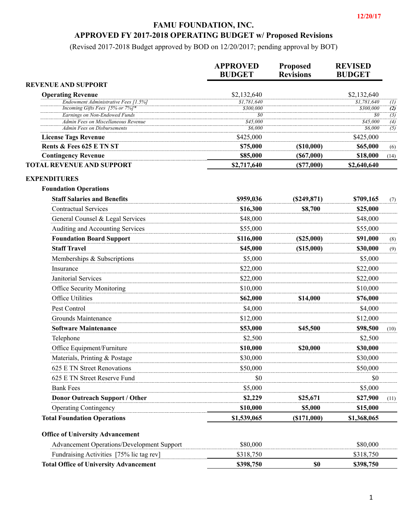#### **FAMU FOUNDATION, INC.**

### **APPROVED FY 2017-2018 OPERATING BUDGET w/ Proposed Revisions**

(Revised 2017-2018 Budget approved by BOD on 12/20/2017; pending approval by BOT)

|                                                                         | <b>APPROVED</b><br><b>BUDGET</b> | <b>Proposed</b><br><b>Revisions</b> | <b>REVISED</b><br><b>BUDGET</b> |                                    |
|-------------------------------------------------------------------------|----------------------------------|-------------------------------------|---------------------------------|------------------------------------|
| <b>REVENUE AND SUPPORT</b>                                              |                                  |                                     |                                 |                                    |
| <b>Operating Revenue</b>                                                | \$2,132,640                      |                                     | \$2,132,640                     |                                    |
| Endowment Administrative Fees [1.5%]<br>Incoming Gifts Fees [5% or 7%]* | \$1,781,640                      |                                     | \$1,781,640<br>\$300,000        | (1)                                |
| <b>Earnings on Non-Endowed Funds</b>                                    | \$300,000<br>$\mathfrak{g}_0$    |                                     | $\mathfrak{g}_0$                | $\overline{(2)}$<br>$\overline{3}$ |
| Admin Fees on Miscellaneous Revenue                                     | \$45,000                         |                                     | \$45,000                        | (4)                                |
| Admin Fees on Disbursements                                             | \$6,000                          |                                     | \$6,000                         | $\overline{(5)}$                   |
| <b>License Tags Revenue</b>                                             | \$425,000                        |                                     | \$425,000                       |                                    |
| Rents & Fees 625 E TN ST                                                | \$75,000                         | $($ \$10,000 $)$<br>(S67,000)       | \$65,000<br>\$18,000            | (6)                                |
| <b>Contingency Revenue</b><br><b>TOTAL REVENUE AND SUPPORT</b>          | \$85,000<br>\$2,717,640          | (S77,000)                           | \$2,640,640                     | (14)                               |
|                                                                         |                                  |                                     |                                 |                                    |
| <b>EXPENDITURES</b><br><b>Foundation Operations</b>                     |                                  |                                     |                                 |                                    |
| <b>Staff Salaries and Benefits</b>                                      | \$959,036                        | (S249, 871)                         | \$709,165                       | (7)                                |
| <b>Contractual Services</b>                                             | \$16,300                         | \$8,700                             | \$25,000                        |                                    |
| General Counsel & Legal Services                                        | \$48,000                         |                                     | \$48,000                        |                                    |
| Auditing and Accounting Services                                        | \$55,000                         |                                     | \$55,000                        |                                    |
| <b>Foundation Board Support</b>                                         | \$116,000                        | (S25,000)                           | \$91,000                        | (8)                                |
| <b>Staff Travel</b>                                                     | \$45,000                         | $($ \$15,000 $)$                    | \$30,000                        | (9)                                |
| Memberships & Subscriptions                                             | \$5,000                          |                                     | \$5,000                         |                                    |
| Insurance                                                               | \$22,000                         |                                     | \$22,000                        |                                    |
| Janitorial Services                                                     | \$22,000                         |                                     | \$22,000                        |                                    |
| Office Security Monitoring                                              | \$10,000                         |                                     | \$10,000                        |                                    |
| Office Utilities                                                        | \$62,000                         | \$14,000                            | \$76,000                        |                                    |
| Pest Control                                                            | \$4,000                          |                                     | \$4,000                         |                                    |
| Grounds Maintenance                                                     | \$12,000                         |                                     | \$12,000                        |                                    |
| <b>Software Maintenance</b>                                             | \$53,000                         | \$45,500                            | \$98,500                        | (10)                               |
| Telephone                                                               | \$2,500                          |                                     | \$2,500                         |                                    |
| Office Equipment/Furniture                                              | \$10,000                         | \$20,000                            | \$30,000                        |                                    |
| Materials, Printing & Postage                                           | \$30,000                         |                                     | \$30,000                        |                                    |
| 625 E TN Street Renovations                                             | \$50,000                         |                                     | \$50,000                        |                                    |
| 625 E TN Street Reserve Fund                                            | \$0                              |                                     | \$0                             |                                    |
| <b>Bank Fees</b>                                                        | \$5,000                          |                                     | \$5,000                         |                                    |
| <b>Donor Outreach Support / Other</b>                                   | \$2,229                          | \$25,671                            | \$27,900                        | (11)                               |
| <b>Operating Contingency</b>                                            | \$10,000                         | \$5,000                             | \$15,000                        |                                    |
| <b>Total Foundation Operations</b>                                      | \$1,539,065                      | $($ \$171,000 $)$                   | \$1,368,065                     |                                    |
| <b>Office of University Advancement</b>                                 |                                  |                                     |                                 |                                    |
| <b>Advancement Operations/Development Support</b>                       | \$80,000                         |                                     | \$80,000                        |                                    |
| Fundraising Activities [75% lic tag rev]                                | \$318,750                        |                                     | \$318,750                       |                                    |
| <b>Total Office of University Advancement</b>                           | \$398,750                        | \$0                                 | \$398,750                       |                                    |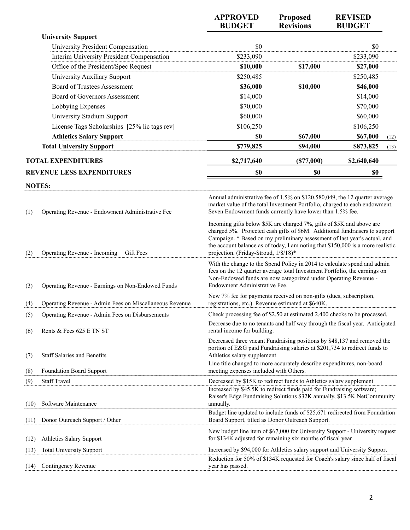|                                                                | <b>APPROVED</b><br><b>BUDGET</b>                                                                                                                                                                                                                                                                                                                             | Proposed<br><b>Revisions</b> | <b>REVISED</b><br><b>BUDGET</b> |      |
|----------------------------------------------------------------|--------------------------------------------------------------------------------------------------------------------------------------------------------------------------------------------------------------------------------------------------------------------------------------------------------------------------------------------------------------|------------------------------|---------------------------------|------|
| <b>University Support</b>                                      |                                                                                                                                                                                                                                                                                                                                                              |                              |                                 |      |
| University President Compensation                              | \$0                                                                                                                                                                                                                                                                                                                                                          |                              | \$0                             |      |
| Interim University President Compensation                      | \$233,090                                                                                                                                                                                                                                                                                                                                                    |                              | \$233,090                       |      |
| Office of the President/Spec Request                           | \$10,000                                                                                                                                                                                                                                                                                                                                                     | \$17,000                     | \$27,000                        |      |
| University Auxiliary Support                                   | \$250,485                                                                                                                                                                                                                                                                                                                                                    |                              | \$250,485                       |      |
| <b>Board of Trustees Assessment</b>                            | \$36,000                                                                                                                                                                                                                                                                                                                                                     | \$10,000                     | \$46,000                        |      |
| <b>Board of Governors Assessment</b>                           | \$14,000                                                                                                                                                                                                                                                                                                                                                     |                              | \$14,000                        |      |
| Lobbying Expenses                                              | \$70,000                                                                                                                                                                                                                                                                                                                                                     |                              | \$70,000                        |      |
| University Stadium Support                                     | \$60,000                                                                                                                                                                                                                                                                                                                                                     |                              | \$60,000                        |      |
| License Tags Scholarships [25% lic tags rev]                   | \$106,250                                                                                                                                                                                                                                                                                                                                                    |                              | \$106,250                       |      |
| <b>Athletics Salary Support</b>                                | \$0                                                                                                                                                                                                                                                                                                                                                          | \$67,000                     | \$67,000                        | (12) |
| <b>Total University Support</b>                                | \$779,825                                                                                                                                                                                                                                                                                                                                                    | \$94,000                     | \$873,825                       | (13) |
| <b>TOTAL EXPENDITURES</b>                                      | \$2,717,640                                                                                                                                                                                                                                                                                                                                                  | (S77,000)                    | \$2,640,640                     |      |
| <b>REVENUE LESS EXPENDITURES</b>                               | \$0                                                                                                                                                                                                                                                                                                                                                          | \$0                          | \$0                             |      |
| <b>NOTES:</b>                                                  |                                                                                                                                                                                                                                                                                                                                                              |                              |                                 |      |
| Operating Revenue - Endowment Administrative Fee<br>(1)        | Annual administrative fee of 1.5% on \$120,580,049, the 12 quarter average<br>market value of the total Investment Portfolio, charged to each endowment.<br>Seven Endowment funds currently have lower than 1.5% fee.                                                                                                                                        |                              |                                 |      |
| Operating Revenue - Incoming<br>Gift Fees<br>(2)               | Incoming gifts below \$5K are charged 7%, gifts of \$5K and above are<br>charged 5%. Projected cash gifts of \$6M. Additional fundraisers to support<br>Campaign. * Based on my preliminary assessment of last year's actual, and<br>the account balance as of today, I am noting that \$150,000 is a more realistic<br>projection. (Friday-Stroud, 1/8/18)* |                              |                                 |      |
| Operating Revenue - Earnings on Non-Endowed Funds<br>(3)       | With the change to the Spend Policy in 2014 to calculate spend and admin<br>fees on the 12 quarter average total Investment Portfolio, the earnings on<br>Non-Endowed funds are now categorized under Operating Revenue -<br>Endowment Administrative Fee.                                                                                                   |                              |                                 |      |
| Operating Revenue - Admin Fees on Miscellaneous Revenue<br>(4) | New 7% fee for payments received on non-gifts (dues, subscription,<br>registrations, etc.). Revenue estimated at \$640K.                                                                                                                                                                                                                                     |                              |                                 |      |
| Operating Revenue - Admin Fees on Disbursements<br>(5)         | Check processing fee of \$2.50 at estimated 2,400 checks to be processed.                                                                                                                                                                                                                                                                                    |                              |                                 |      |
| Rents & Fees 625 E TN ST<br>(6)                                | Decrease due to no tenants and half way through the fiscal year. Anticipated<br>rental income for building.                                                                                                                                                                                                                                                  |                              |                                 |      |
| <b>Staff Salaries and Benefits</b><br>(7)                      | Decreased three vacant Fundraising positions by \$48,137 and removed the<br>portion of E&G paid Fundraising salaries at \$201,734 to redirect funds to<br>Athletics salary supplement                                                                                                                                                                        |                              |                                 |      |
| <b>Foundation Board Support</b><br>(8)                         | Line title changed to more accurately describe expenditures, non-board<br>meeting expenses included with Others.                                                                                                                                                                                                                                             |                              |                                 |      |
| <b>Staff Travel</b><br>(9)                                     | Decreased by \$15K to redirect funds to Athletics salary supplement                                                                                                                                                                                                                                                                                          |                              |                                 |      |
| Software Maintenance<br>(10)                                   | Increased by \$45.5K to redirect funds paid for Fundraising software;<br>Raiser's Edge Fundraising Solutions \$32K annually, \$13.5K NetCommunity<br>annually.                                                                                                                                                                                               |                              |                                 |      |
| Donor Outreach Support / Other<br>(11)                         | Budget line updated to include funds of \$25,671 redirected from Foundation<br>Board Support, titled as Donor Outreach Support.                                                                                                                                                                                                                              |                              |                                 |      |
| <b>Athletics Salary Support</b><br>(12)                        | New budget line item of \$67,000 for University Support - University request<br>for \$134K adjusted for remaining six months of fiscal year                                                                                                                                                                                                                  |                              |                                 |      |
| <b>Total University Support</b><br>(13)                        | Increased by \$94,000 for Athletics salary support and University Support<br>Reduction for 50% of \$134K requested for Coach's salary since half of fiscal                                                                                                                                                                                                   |                              |                                 |      |
| Contingency Revenue<br>(14)                                    | year has passed.                                                                                                                                                                                                                                                                                                                                             |                              |                                 |      |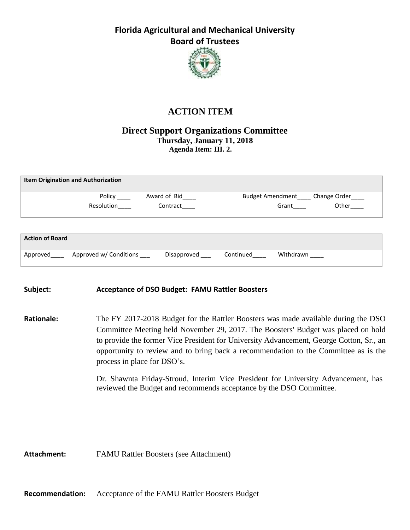## **Florida Agricultural and Mechanical University Board of Trustees**



## **ACTION ITEM**

#### **Direct Support Organizations Committee Thursday, January 11, 2018 Agenda Item: III. 2.**

| <b>Item Origination and Authorization</b> |            |              |                                     |       |
|-------------------------------------------|------------|--------------|-------------------------------------|-------|
|                                           | Policy     | Award of Bid | Budget Amendment _____ Change Order |       |
|                                           | Resolution | Contract     | Grant                               | Other |
|                                           |            |              |                                     |       |
| <b>Action of Board</b>                    |            |              |                                     |       |

| Subject: | <b>Acceptance of DSO Budget: FAMU Rattler Boosters</b> |  |
|----------|--------------------------------------------------------|--|

Approved Approved W/ Conditions Disapproved Continued Withdrawn

**Rationale:** The FY 2017-2018 Budget for the Rattler Boosters was made available during the DSO Committee Meeting held November 29, 2017. The Boosters' Budget was placed on hold to provide the former Vice President for University Advancement, George Cotton, Sr., an opportunity to review and to bring back a recommendation to the Committee as is the process in place for DSO's.

> Dr. Shawnta Friday-Stroud, Interim Vice President for University Advancement, has reviewed the Budget and recommends acceptance by the DSO Committee.

**Attachment:** FAMU Rattler Boosters (see Attachment)

**Recommendation:** Acceptance of the FAMU Rattler Boosters Budget